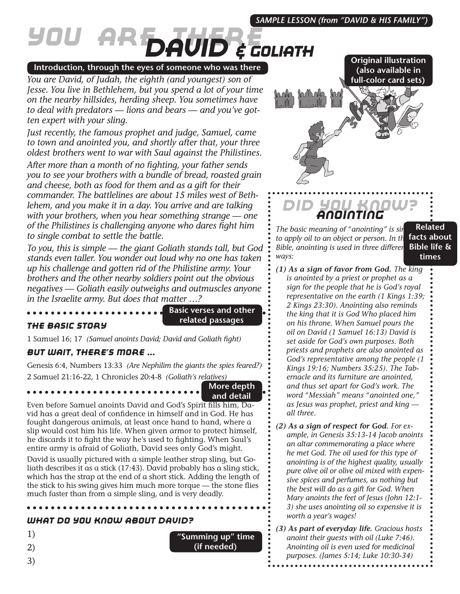#### *SAMPLE LESSON (from "DAVID & HIS FAMILY")*

# *You Are There David & Goliath*

#### **Introduction, through the eyes of someone who was there**

*You are David, of Judah, the eighth (and youngest) son of Jesse. You live in Bethlehem, but you spend a lot of your time on the nearby hillsides, herding sheep. You sometimes have to deal with predators — lions and bears — and you've gotten expert with your sling.*

*Just recently, the famous prophet and judge, Samuel, came to town and anointed you, and shortly after that, your three oldest brothers went to war with Saul against the Philistines.*

*After more than a month of no fighting, your father sends you to see your brothers with a bundle of bread, roasted grain and cheese, both as food for them and as a gift for their commander. The battlelines are about 15 miles west of Bethlehem, and you make it in a day. You arrive and are talking with your brothers, when you hear something strange — one of the Philistines is challenging anyone who dares fight him to single combat to settle the battle.*

*To you, this is simple — the giant Goliath stands tall, but God stands even taller. You wonder out loud why no one has taken up his challenge and gotten rid of the Philistine army. Your brothers and the other nearby soldiers point out the obvious negatives — Goliath easily outweighs and outmuscles anyone in the Israelite army. But does that matter …?*

. . . . . . . . . . . . . . . . .

**Basic verses and other related passages**

#### *The Basic Story*

1 Samuel 16; 17 *(Samuel anoints David; David and Goliath fight)*

#### *But Wait, There's More ...*

Genesis 6:4, Numbers 13:33 *(Are Nephilim the giants the spies feared?)* 2 Samuel 21:16-22, 1 Chronicles 20:4-8 *(Goliath's relatives)*

> **More depth and detail**

Even before Samuel anoints David and God's Spirit fills him, David has a great deal of confidence in himself and in God. He has fought dangerous animals, at least once hand to hand, where a slip would cost him his life. When given armor to protect himself, he discards it to fight the way he's used to fighting. When Saul's entire army is afraid of Goliath, David sees only God's might.

David is usually pictured with a simple leather strap sling, but Goliath describes it as a stick (17:43). David probably has a sling stick, which has the strap at the end of a short stick. Adding the length of the stick to his swing gives him much more torque — the stone flies much faster than from a simple sling, and is very deadly.

#### *What Do You Know About David?*

1)

- 2)
- 3)

**(also available in full-color card sets)**

**Original illustration** 

## *Did You Know? Anointing*

*The basic meaning of "anointing" is sir* to apply oil to an object or person. In the **facts about** *Bible, anointing is used in three differer ways:*

**Related Bible life & times**

- *(1) As a sign of favor from God. The king is anointed by a priest or prophet as a sign for the people that he is God's royal representative on the earth (1 Kings 1:39; 2 Kings 23:30). Anointing also reminds the king that it is God Who placed him on his throne. When Samuel pours the oil on David (1 Samuel 16:13) David is set aside for God's own purposes. Both priests and prophets are also anointed as God's representative among the people (1 Kings 19:16; Numbers 35:25). The Tabernacle and its furniture are anointed, and thus set apart for God's work. The word "Messiah" means "anointed one," as Jesus was prophet, priest and king all three.*
- *(2) As a sign of respect for God. For example, in Genesis 35:13-14 Jacob anoints an altar commemorating a place where he met God. The oil used for this type of anointing is of the highest quality, usually pure olive oil or olive oil mixed with expensive spices and perfumes, as nothing but the best will do as a gift for God. When Mary anoints the feet of Jesus (John 12:1- 3) she uses anointing oil so expensive it is worth a year's wages!*
- *(3) As part of everyday life. Gracious hosts anoint their guests with oil (Luke 7:46). Anointing oil is even used for medicinal purposes. (James 5:14; Luke 10:30-34)*

**"Summing up" time (if needed)**